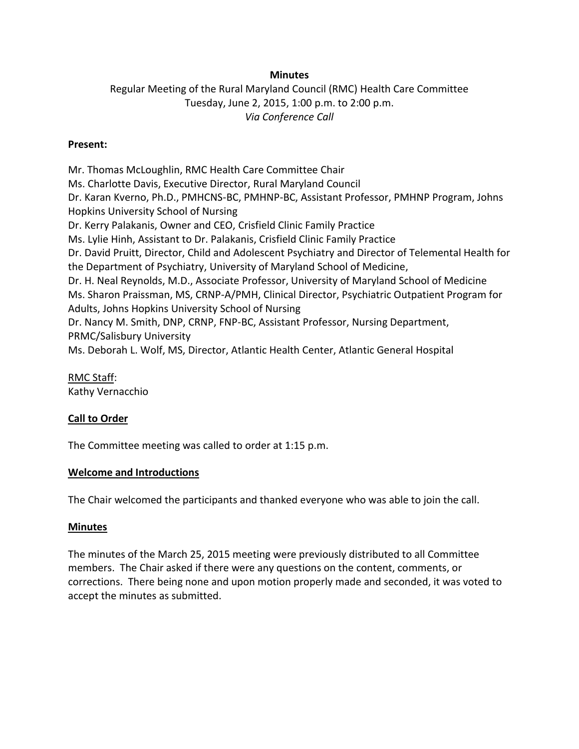## **Minutes**

# Regular Meeting of the Rural Maryland Council (RMC) Health Care Committee Tuesday, June 2, 2015, 1:00 p.m. to 2:00 p.m. *Via Conference Call*

## **Present:**

Mr. Thomas McLoughlin, RMC Health Care Committee Chair Ms. Charlotte Davis, Executive Director, Rural Maryland Council Dr. Karan Kverno, Ph.D., PMHCNS-BC, PMHNP-BC, Assistant Professor, PMHNP Program, Johns Hopkins University School of Nursing Dr. Kerry Palakanis, Owner and CEO, Crisfield Clinic Family Practice Ms. Lylie Hinh, Assistant to Dr. Palakanis, Crisfield Clinic Family Practice Dr. David Pruitt, Director, Child and Adolescent Psychiatry and Director of Telemental Health for the Department of Psychiatry, University of Maryland School of Medicine, Dr. H. Neal Reynolds, M.D., Associate Professor, University of Maryland School of Medicine Ms. Sharon Praissman, MS, CRNP-A/PMH, Clinical Director, Psychiatric Outpatient Program for Adults, Johns Hopkins University School of Nursing Dr. Nancy M. Smith, DNP, CRNP, FNP-BC, Assistant Professor, Nursing Department, PRMC/Salisbury University Ms. Deborah L. Wolf, MS, Director, Atlantic Health Center, Atlantic General Hospital

RMC Staff: Kathy Vernacchio

## **Call to Order**

The Committee meeting was called to order at 1:15 p.m.

## **Welcome and Introductions**

The Chair welcomed the participants and thanked everyone who was able to join the call.

## **Minutes**

The minutes of the March 25, 2015 meeting were previously distributed to all Committee members. The Chair asked if there were any questions on the content, comments, or corrections. There being none and upon motion properly made and seconded, it was voted to accept the minutes as submitted.